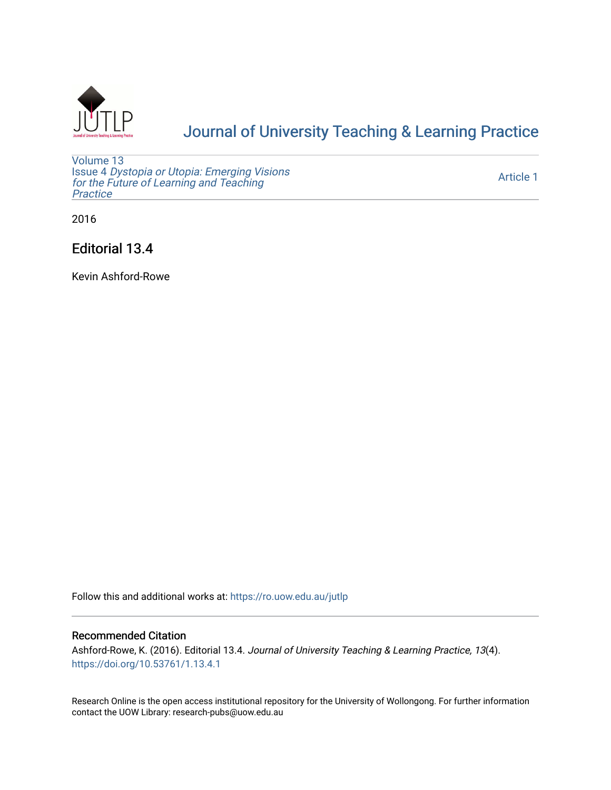

# [Journal of University Teaching & Learning Practice](https://ro.uow.edu.au/jutlp)

[Volume 13](https://ro.uow.edu.au/jutlp/vol13) Issue 4 [Dystopia or Utopia: Emerging Visions](https://ro.uow.edu.au/jutlp/vol13/iss4) [for the Future of Learning and Teaching](https://ro.uow.edu.au/jutlp/vol13/iss4) **Practice** 

[Article 1](https://ro.uow.edu.au/jutlp/vol13/iss4/1) 

2016

Editorial 13.4

Kevin Ashford-Rowe

Follow this and additional works at: [https://ro.uow.edu.au/jutlp](https://ro.uow.edu.au/jutlp?utm_source=ro.uow.edu.au%2Fjutlp%2Fvol13%2Fiss4%2F1&utm_medium=PDF&utm_campaign=PDFCoverPages) 

#### Recommended Citation

Ashford-Rowe, K. (2016). Editorial 13.4. Journal of University Teaching & Learning Practice, 13(4). <https://doi.org/10.53761/1.13.4.1>

Research Online is the open access institutional repository for the University of Wollongong. For further information contact the UOW Library: research-pubs@uow.edu.au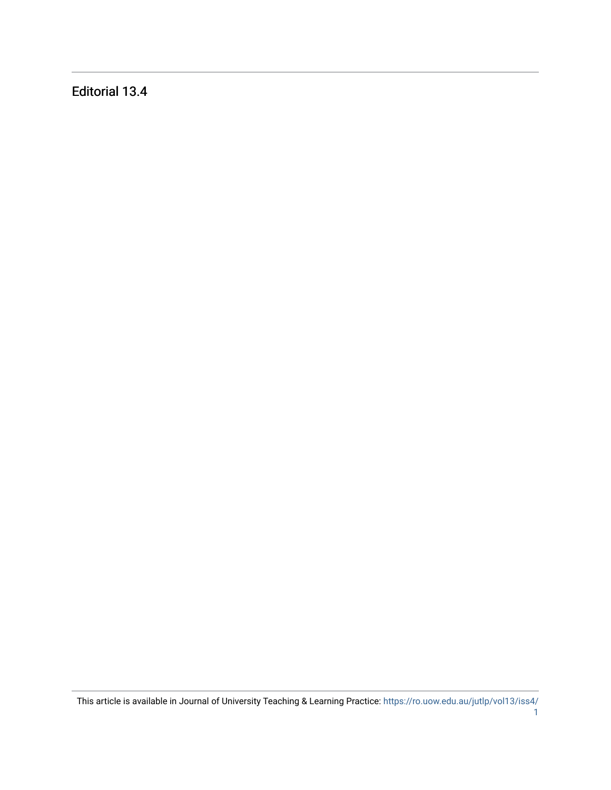Editorial 13.4

This article is available in Journal of University Teaching & Learning Practice: [https://ro.uow.edu.au/jutlp/vol13/iss4/](https://ro.uow.edu.au/jutlp/vol13/iss4/1)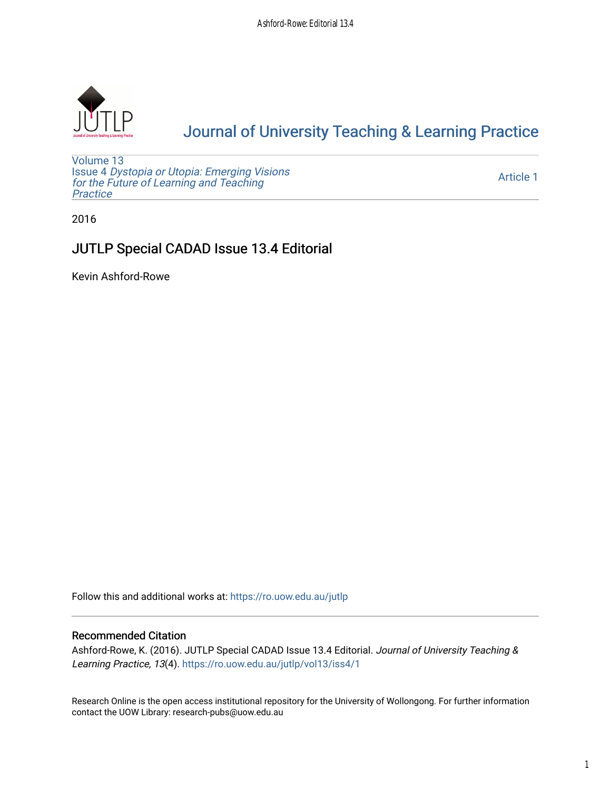

# [Journal of University Teaching & Learning Practice](https://ro.uow.edu.au/jutlp)

[Volume 13](https://ro.uow.edu.au/jutlp/vol13) Issue 4 [Dystopia or Utopia: Emerging Visions](https://ro.uow.edu.au/jutlp/vol13/iss4) [for the Future of Learning and Teaching](https://ro.uow.edu.au/jutlp/vol13/iss4) **Practice** 

[Article 1](https://ro.uow.edu.au/jutlp/vol13/iss4/1) 

2016

### JUTLP Special CADAD Issue 13.4 Editorial

Kevin Ashford-Rowe

Follow this and additional works at: [https://ro.uow.edu.au/jutlp](https://ro.uow.edu.au/jutlp?utm_source=ro.uow.edu.au%2Fjutlp%2Fvol13%2Fiss4%2F1&utm_medium=PDF&utm_campaign=PDFCoverPages) 

#### Recommended Citation

Ashford-Rowe, K. (2016). JUTLP Special CADAD Issue 13.4 Editorial. Journal of University Teaching & Learning Practice, 13(4). [https://ro.uow.edu.au/jutlp/vol13/iss4/1](https://ro.uow.edu.au/jutlp/vol13/iss4/1?utm_source=ro.uow.edu.au%2Fjutlp%2Fvol13%2Fiss4%2F1&utm_medium=PDF&utm_campaign=PDFCoverPages)

Research Online is the open access institutional repository for the University of Wollongong. For further information contact the UOW Library: research-pubs@uow.edu.au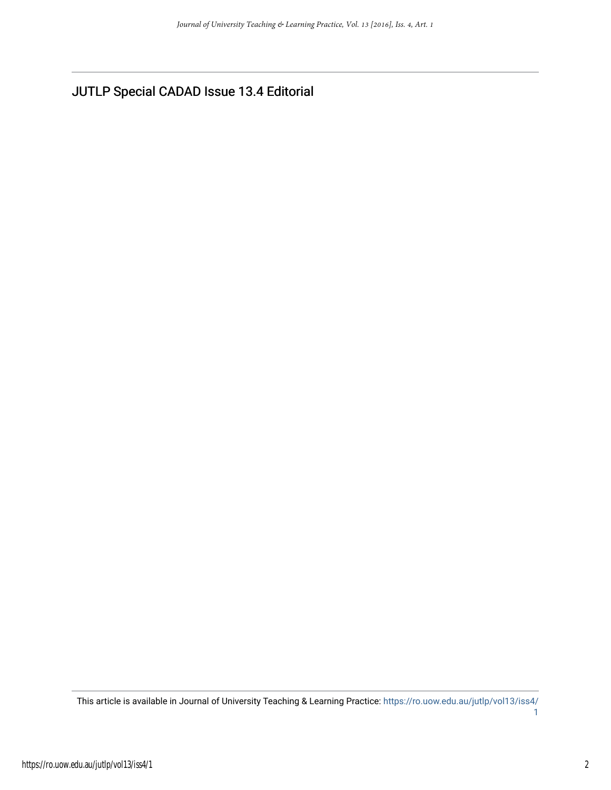JUTLP Special CADAD Issue 13.4 Editorial

This article is available in Journal of University Teaching & Learning Practice: [https://ro.uow.edu.au/jutlp/vol13/iss4/](https://ro.uow.edu.au/jutlp/vol13/iss4/1) [1](https://ro.uow.edu.au/jutlp/vol13/iss4/1)